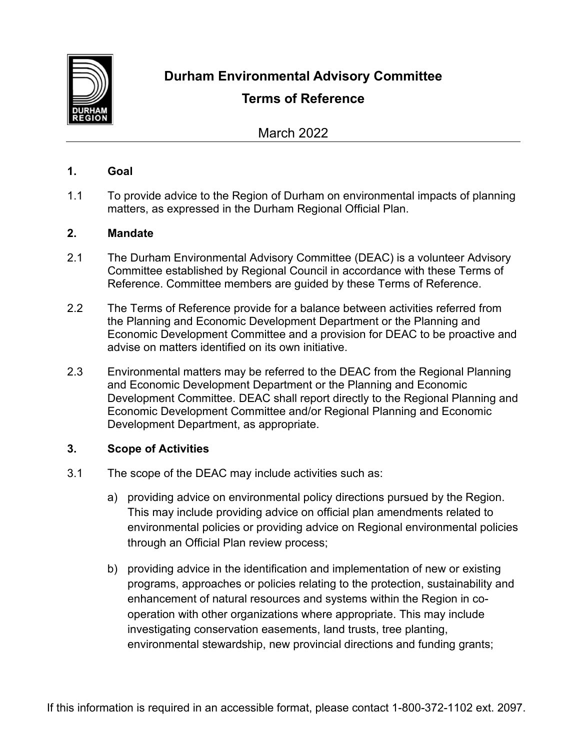

**Durham Environmental Advisory Committee**

# **Terms of Reference**

March 2022

## **1. Goal**

1.1 To provide advice to the Region of Durham on environmental impacts of planning matters, as expressed in the Durham Regional Official Plan.

## **2. Mandate**

- 2.1 The Durham Environmental Advisory Committee (DEAC) is a volunteer Advisory Committee established by Regional Council in accordance with these Terms of Reference. Committee members are guided by these Terms of Reference.
- 2.2 The Terms of Reference provide for a balance between activities referred from the Planning and Economic Development Department or the Planning and Economic Development Committee and a provision for DEAC to be proactive and advise on matters identified on its own initiative.
- 2.3 Environmental matters may be referred to the DEAC from the Regional Planning and Economic Development Department or the Planning and Economic Development Committee. DEAC shall report directly to the Regional Planning and Economic Development Committee and/or Regional Planning and Economic Development Department, as appropriate.

# **3. Scope of Activities**

- 3.1 The scope of the DEAC may include activities such as:
	- a) providing advice on environmental policy directions pursued by the Region. This may include providing advice on official plan amendments related to environmental policies or providing advice on Regional environmental policies through an Official Plan review process;
	- b) providing advice in the identification and implementation of new or existing programs, approaches or policies relating to the protection, sustainability and enhancement of natural resources and systems within the Region in cooperation with other organizations where appropriate. This may include investigating conservation easements, land trusts, tree planting, environmental stewardship, new provincial directions and funding grants;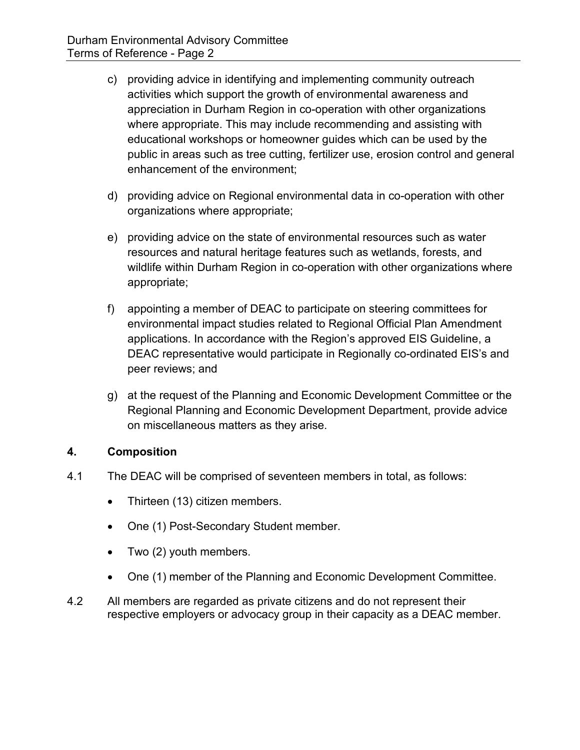- c) providing advice in identifying and implementing community outreach activities which support the growth of environmental awareness and appreciation in Durham Region in co-operation with other organizations where appropriate. This may include recommending and assisting with educational workshops or homeowner guides which can be used by the public in areas such as tree cutting, fertilizer use, erosion control and general enhancement of the environment;
- d) providing advice on Regional environmental data in co-operation with other organizations where appropriate;
- e) providing advice on the state of environmental resources such as water resources and natural heritage features such as wetlands, forests, and wildlife within Durham Region in co-operation with other organizations where appropriate;
- f) appointing a member of DEAC to participate on steering committees for environmental impact studies related to Regional Official Plan Amendment applications. In accordance with the Region's approved EIS Guideline, a DEAC representative would participate in Regionally co-ordinated EIS's and peer reviews; and
- g) at the request of the Planning and Economic Development Committee or the Regional Planning and Economic Development Department, provide advice on miscellaneous matters as they arise.

# **4. Composition**

- 4.1 The DEAC will be comprised of seventeen members in total, as follows:
	- Thirteen (13) citizen members.
	- One (1) Post-Secondary Student member.
	- Two (2) youth members.
	- One (1) member of the Planning and Economic Development Committee.
- 4.2 All members are regarded as private citizens and do not represent their respective employers or advocacy group in their capacity as a DEAC member.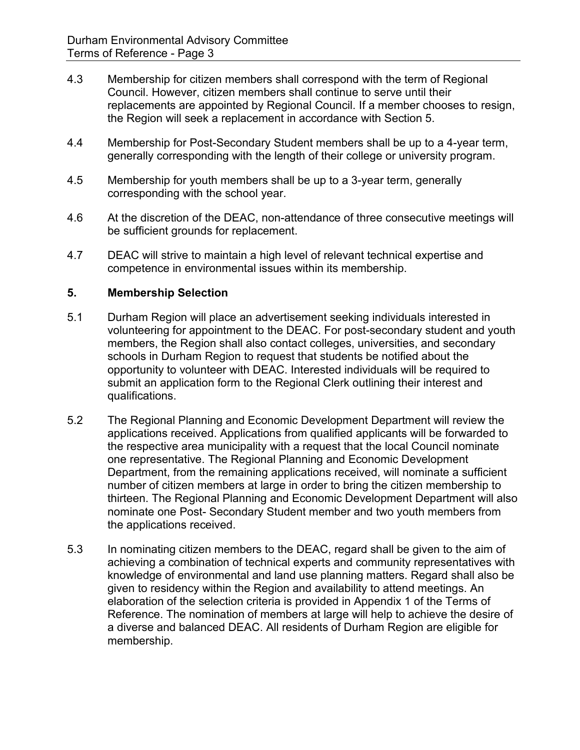- 4.3 Membership for citizen members shall correspond with the term of Regional Council. However, citizen members shall continue to serve until their replacements are appointed by Regional Council. If a member chooses to resign, the Region will seek a replacement in accordance with Section 5.
- 4.4 Membership for Post-Secondary Student members shall be up to a 4-year term, generally corresponding with the length of their college or university program.
- 4.5 Membership for youth members shall be up to a 3-year term, generally corresponding with the school year.
- 4.6 At the discretion of the DEAC, non-attendance of three consecutive meetings will be sufficient grounds for replacement.
- 4.7 DEAC will strive to maintain a high level of relevant technical expertise and competence in environmental issues within its membership.

# **5. Membership Selection**

- 5.1 Durham Region will place an advertisement seeking individuals interested in volunteering for appointment to the DEAC. For post-secondary student and youth members, the Region shall also contact colleges, universities, and secondary schools in Durham Region to request that students be notified about the opportunity to volunteer with DEAC. Interested individuals will be required to submit an application form to the Regional Clerk outlining their interest and qualifications.
- 5.2 The Regional Planning and Economic Development Department will review the applications received. Applications from qualified applicants will be forwarded to the respective area municipality with a request that the local Council nominate one representative. The Regional Planning and Economic Development Department, from the remaining applications received, will nominate a sufficient number of citizen members at large in order to bring the citizen membership to thirteen. The Regional Planning and Economic Development Department will also nominate one Post- Secondary Student member and two youth members from the applications received.
- 5.3 In nominating citizen members to the DEAC, regard shall be given to the aim of achieving a combination of technical experts and community representatives with knowledge of environmental and land use planning matters. Regard shall also be given to residency within the Region and availability to attend meetings. An elaboration of the selection criteria is provided in Appendix 1 of the Terms of Reference. The nomination of members at large will help to achieve the desire of a diverse and balanced DEAC. All residents of Durham Region are eligible for membership.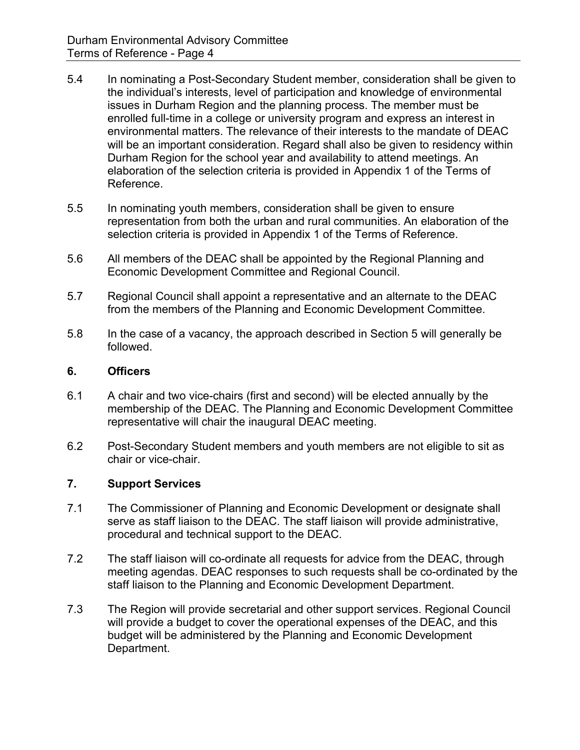- 5.4 In nominating a Post-Secondary Student member, consideration shall be given to the individual's interests, level of participation and knowledge of environmental issues in Durham Region and the planning process. The member must be enrolled full-time in a college or university program and express an interest in environmental matters. The relevance of their interests to the mandate of DEAC will be an important consideration. Regard shall also be given to residency within Durham Region for the school year and availability to attend meetings. An elaboration of the selection criteria is provided in Appendix 1 of the Terms of Reference.
- 5.5 In nominating youth members, consideration shall be given to ensure representation from both the urban and rural communities. An elaboration of the selection criteria is provided in Appendix 1 of the Terms of Reference.
- 5.6 All members of the DEAC shall be appointed by the Regional Planning and Economic Development Committee and Regional Council.
- 5.7 Regional Council shall appoint a representative and an alternate to the DEAC from the members of the Planning and Economic Development Committee.
- 5.8 In the case of a vacancy, the approach described in Section 5 will generally be followed.

### **6. Officers**

- 6.1 A chair and two vice-chairs (first and second) will be elected annually by the membership of the DEAC. The Planning and Economic Development Committee representative will chair the inaugural DEAC meeting.
- 6.2 Post-Secondary Student members and youth members are not eligible to sit as chair or vice-chair.

#### **7. Support Services**

- 7.1 The Commissioner of Planning and Economic Development or designate shall serve as staff liaison to the DEAC. The staff liaison will provide administrative, procedural and technical support to the DEAC.
- 7.2 The staff liaison will co-ordinate all requests for advice from the DEAC, through meeting agendas. DEAC responses to such requests shall be co-ordinated by the staff liaison to the Planning and Economic Development Department.
- 7.3 The Region will provide secretarial and other support services. Regional Council will provide a budget to cover the operational expenses of the DEAC, and this budget will be administered by the Planning and Economic Development Department.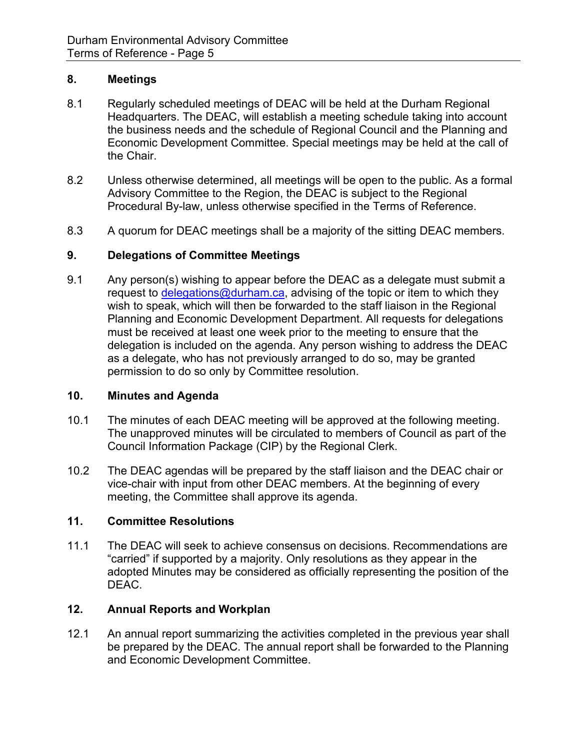## **8. Meetings**

- 8.1 Regularly scheduled meetings of DEAC will be held at the Durham Regional Headquarters. The DEAC, will establish a meeting schedule taking into account the business needs and the schedule of Regional Council and the Planning and Economic Development Committee. Special meetings may be held at the call of the Chair.
- 8.2 Unless otherwise determined, all meetings will be open to the public. As a formal Advisory Committee to the Region, the DEAC is subject to the Regional Procedural By-law, unless otherwise specified in the Terms of Reference.
- 8.3 A quorum for DEAC meetings shall be a majority of the sitting DEAC members.

## **9. Delegations of Committee Meetings**

9.1 Any person(s) wishing to appear before the DEAC as a delegate must submit a request to [delegations@durham.ca,](mailto:delegations@durham.ca) advising of the topic or item to which they wish to speak, which will then be forwarded to the staff liaison in the Regional Planning and Economic Development Department. All requests for delegations must be received at least one week prior to the meeting to ensure that the delegation is included on the agenda. Any person wishing to address the DEAC as a delegate, who has not previously arranged to do so, may be granted permission to do so only by Committee resolution.

#### **10. Minutes and Agenda**

- 10.1 The minutes of each DEAC meeting will be approved at the following meeting. The unapproved minutes will be circulated to members of Council as part of the Council Information Package (CIP) by the Regional Clerk.
- 10.2 The DEAC agendas will be prepared by the staff liaison and the DEAC chair or vice-chair with input from other DEAC members. At the beginning of every meeting, the Committee shall approve its agenda.

#### **11. Committee Resolutions**

11.1 The DEAC will seek to achieve consensus on decisions. Recommendations are "carried" if supported by a majority. Only resolutions as they appear in the adopted Minutes may be considered as officially representing the position of the DEAC.

# **12. Annual Reports and Workplan**

12.1 An annual report summarizing the activities completed in the previous year shall be prepared by the DEAC. The annual report shall be forwarded to the Planning and Economic Development Committee.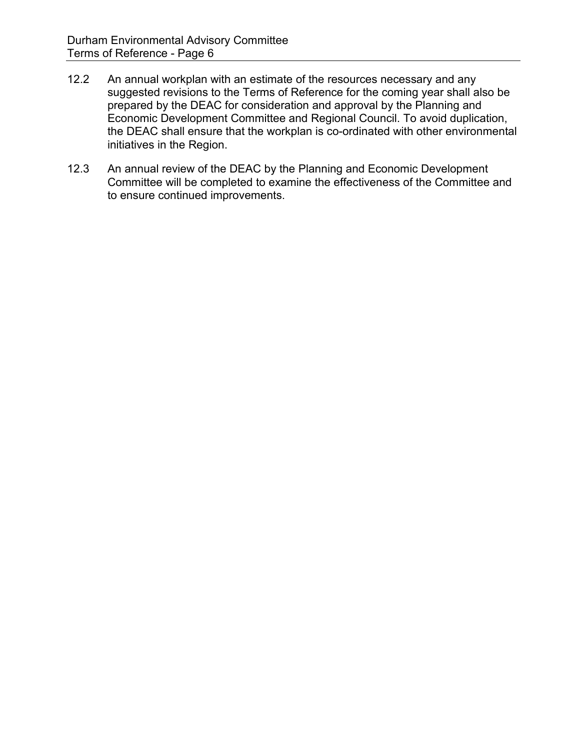- 12.2 An annual workplan with an estimate of the resources necessary and any suggested revisions to the Terms of Reference for the coming year shall also be prepared by the DEAC for consideration and approval by the Planning and Economic Development Committee and Regional Council. To avoid duplication, the DEAC shall ensure that the workplan is co-ordinated with other environmental initiatives in the Region.
- 12.3 An annual review of the DEAC by the Planning and Economic Development Committee will be completed to examine the effectiveness of the Committee and to ensure continued improvements.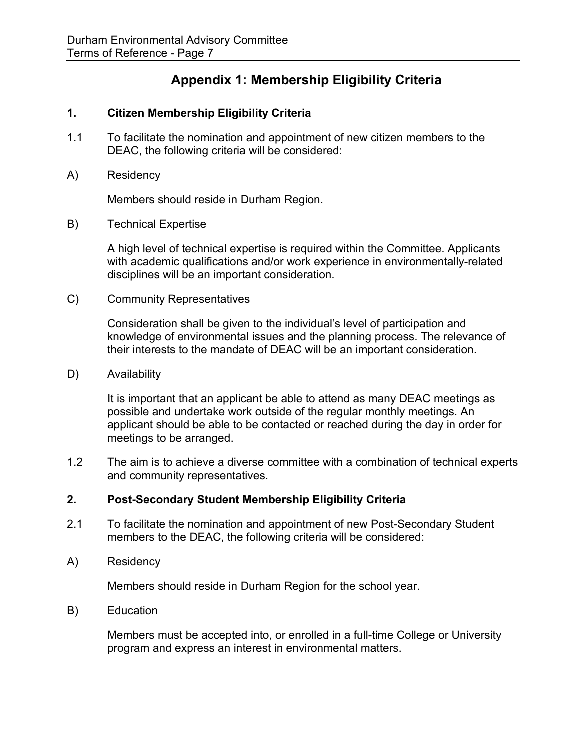# **Appendix 1: Membership Eligibility Criteria**

## **1. Citizen Membership Eligibility Criteria**

- 1.1 To facilitate the nomination and appointment of new citizen members to the DEAC, the following criteria will be considered:
- A) Residency

Members should reside in Durham Region.

B) Technical Expertise

A high level of technical expertise is required within the Committee. Applicants with academic qualifications and/or work experience in environmentally-related disciplines will be an important consideration.

C) Community Representatives

Consideration shall be given to the individual's level of participation and knowledge of environmental issues and the planning process. The relevance of their interests to the mandate of DEAC will be an important consideration.

D) Availability

It is important that an applicant be able to attend as many DEAC meetings as possible and undertake work outside of the regular monthly meetings. An applicant should be able to be contacted or reached during the day in order for meetings to be arranged.

1.2 The aim is to achieve a diverse committee with a combination of technical experts and community representatives.

#### **2. Post-Secondary Student Membership Eligibility Criteria**

- 2.1 To facilitate the nomination and appointment of new Post-Secondary Student members to the DEAC, the following criteria will be considered:
- A) Residency

Members should reside in Durham Region for the school year.

B) Education

Members must be accepted into, or enrolled in a full-time College or University program and express an interest in environmental matters.